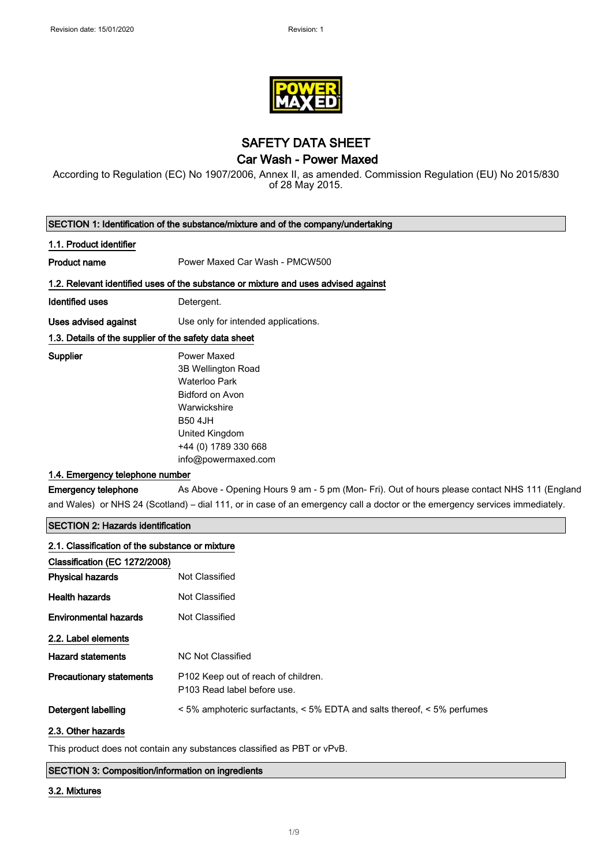$\begin{array}{c} \end{array}$ 

 $\overline{\phantom{a}}$ 



SAFETY DATA SHEET

### Car Wash - Power Maxed

According to Regulation (EC) No 1907/2006, Annex II, as amended. Commission Regulation (EU) No 2015/830 of 28 May 2015.

|                                                                                  | SECTION 1: Identification of the substance/mixture and of the company/undertaking                                                                                                                                                                                                       |
|----------------------------------------------------------------------------------|-----------------------------------------------------------------------------------------------------------------------------------------------------------------------------------------------------------------------------------------------------------------------------------------|
| 1.1. Product identifier                                                          |                                                                                                                                                                                                                                                                                         |
| <b>Product name</b>                                                              | Power Maxed Car Wash - PMCW500                                                                                                                                                                                                                                                          |
|                                                                                  | 1.2. Relevant identified uses of the substance or mixture and uses advised against                                                                                                                                                                                                      |
| <b>Identified uses</b>                                                           | Detergent.                                                                                                                                                                                                                                                                              |
| <b>Uses advised against</b>                                                      | Use only for intended applications.                                                                                                                                                                                                                                                     |
| 1.3. Details of the supplier of the safety data sheet                            |                                                                                                                                                                                                                                                                                         |
| <b>Supplier</b><br>1.4. Emergency telephone number<br><b>Emergency telephone</b> | <b>Power Maxed</b><br>3B Wellington Road<br><b>Waterloo Park</b><br>Bidford on Avon<br>Warwickshire<br><b>B50 4JH</b><br>United Kingdom<br>+44 (0) 1789 330 668<br>info@powermaxed.com<br>As Above - Opening Hours 9 am - 5 pm (Mon- Fri). Out of hours please contact NHS 111 (England |
|                                                                                  | and Wales) or NHS 24 (Scotland) – dial 111, or in case of an emergency call a doctor or the emergency services immediately.                                                                                                                                                             |
| <b>SECTION 2: Hazards identification</b>                                         |                                                                                                                                                                                                                                                                                         |
| 2.1. Classification of the substance or mixture                                  |                                                                                                                                                                                                                                                                                         |
| Classification (EC 1272/2008)                                                    |                                                                                                                                                                                                                                                                                         |
| <b>Physical hazards</b>                                                          | Not Classified                                                                                                                                                                                                                                                                          |
| <b>Health hazards</b>                                                            | Not Classified                                                                                                                                                                                                                                                                          |
| <b>Environmental hazards</b>                                                     | Not Classified                                                                                                                                                                                                                                                                          |
| 2.2. Label elements                                                              |                                                                                                                                                                                                                                                                                         |
| <b>Hazard statements</b>                                                         | <b>NC Not Classified</b>                                                                                                                                                                                                                                                                |

Detergent labelling < 5% amphoteric surfactants, < 5% EDTA and salts thereof, < 5% perfumes

P103 Read label before use.

#### 2.3. Other hazards

This product does not contain any substances classified as PBT or vPvB.

Precautionary statements P102 Keep out of reach of children.

#### SECTION 3: Composition/information on ingredients

#### 3.2. Mixtures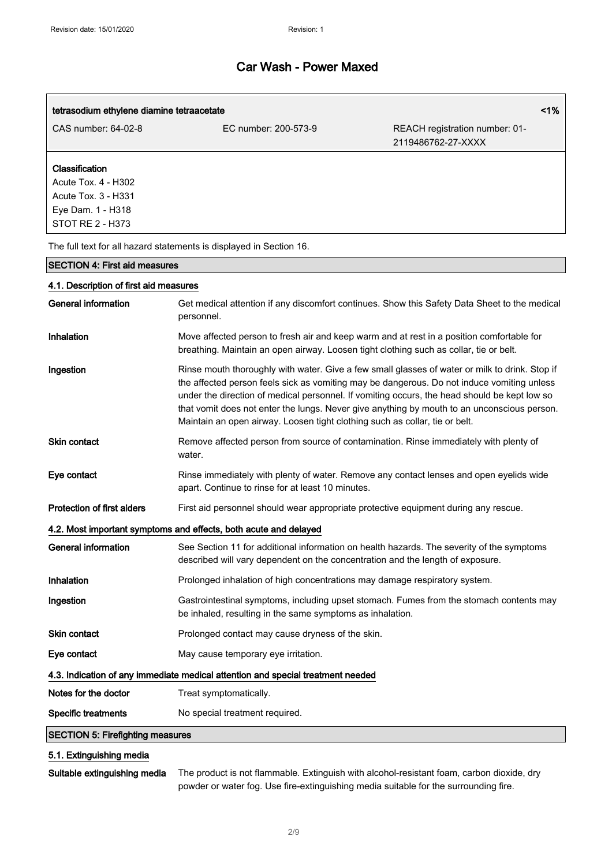| tetrasodium ethylene diamine tetraacetate  |                      | 1%                                                   |  |
|--------------------------------------------|----------------------|------------------------------------------------------|--|
| CAS number: 64-02-8                        | EC number: 200-573-9 | REACH registration number: 01-<br>2119486762-27-XXXX |  |
| Classification                             |                      |                                                      |  |
| Acute Tox. 4 - H302<br>Acute Tox. 3 - H331 |                      |                                                      |  |
| Eye Dam. 1 - H318<br>STOT RE 2 - H373      |                      |                                                      |  |

The full text for all hazard statements is displayed in Section 16.

#### SECTION 4: First aid measures

### 4.1. Description of first aid measures

| <b>General information</b>                                                      | Get medical attention if any discomfort continues. Show this Safety Data Sheet to the medical<br>personnel.                                                                                                                                                                                                                                                                                                                                                                |  |
|---------------------------------------------------------------------------------|----------------------------------------------------------------------------------------------------------------------------------------------------------------------------------------------------------------------------------------------------------------------------------------------------------------------------------------------------------------------------------------------------------------------------------------------------------------------------|--|
| Inhalation                                                                      | Move affected person to fresh air and keep warm and at rest in a position comfortable for<br>breathing. Maintain an open airway. Loosen tight clothing such as collar, tie or belt.                                                                                                                                                                                                                                                                                        |  |
| Ingestion                                                                       | Rinse mouth thoroughly with water. Give a few small glasses of water or milk to drink. Stop if<br>the affected person feels sick as vomiting may be dangerous. Do not induce vomiting unless<br>under the direction of medical personnel. If vomiting occurs, the head should be kept low so<br>that vomit does not enter the lungs. Never give anything by mouth to an unconscious person.<br>Maintain an open airway. Loosen tight clothing such as collar, tie or belt. |  |
| Skin contact                                                                    | Remove affected person from source of contamination. Rinse immediately with plenty of<br>water.                                                                                                                                                                                                                                                                                                                                                                            |  |
| Eye contact                                                                     | Rinse immediately with plenty of water. Remove any contact lenses and open eyelids wide<br>apart. Continue to rinse for at least 10 minutes.                                                                                                                                                                                                                                                                                                                               |  |
| Protection of first aiders                                                      | First aid personnel should wear appropriate protective equipment during any rescue.                                                                                                                                                                                                                                                                                                                                                                                        |  |
| 4.2. Most important symptoms and effects, both acute and delayed                |                                                                                                                                                                                                                                                                                                                                                                                                                                                                            |  |
| <b>General information</b>                                                      | See Section 11 for additional information on health hazards. The severity of the symptoms<br>described will vary dependent on the concentration and the length of exposure.                                                                                                                                                                                                                                                                                                |  |
| Inhalation                                                                      | Prolonged inhalation of high concentrations may damage respiratory system.                                                                                                                                                                                                                                                                                                                                                                                                 |  |
| Ingestion                                                                       | Gastrointestinal symptoms, including upset stomach. Fumes from the stomach contents may<br>be inhaled, resulting in the same symptoms as inhalation.                                                                                                                                                                                                                                                                                                                       |  |
| Skin contact                                                                    | Prolonged contact may cause dryness of the skin.                                                                                                                                                                                                                                                                                                                                                                                                                           |  |
| Eye contact                                                                     | May cause temporary eye irritation.                                                                                                                                                                                                                                                                                                                                                                                                                                        |  |
| 4.3. Indication of any immediate medical attention and special treatment needed |                                                                                                                                                                                                                                                                                                                                                                                                                                                                            |  |
| Notes for the doctor                                                            | Treat symptomatically.                                                                                                                                                                                                                                                                                                                                                                                                                                                     |  |
| <b>Specific treatments</b>                                                      | No special treatment required.                                                                                                                                                                                                                                                                                                                                                                                                                                             |  |
| <b>SECTION 5: Firefighting measures</b>                                         |                                                                                                                                                                                                                                                                                                                                                                                                                                                                            |  |

### 5.1. Extinguishing media

Suitable extinguishing media The product is not flammable. Extinguish with alcohol-resistant foam, carbon dioxide, dry powder or water fog. Use fire-extinguishing media suitable for the surrounding fire.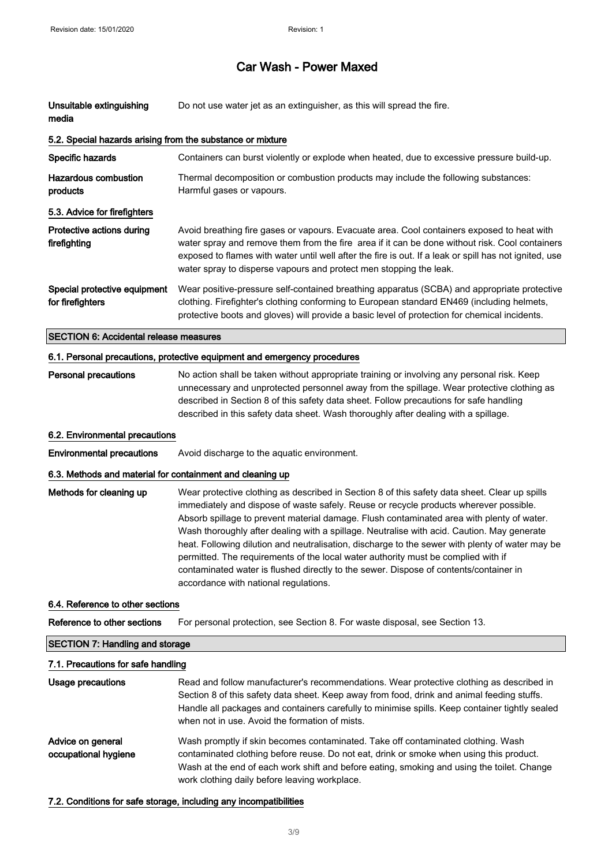| Unsuitable extinguishing<br>media                                        | Do not use water jet as an extinguisher, as this will spread the fire.                                                                                                                                                                                                                                                                                                                                                                                                                                                                                                                                                                                                                                      |  |  |
|--------------------------------------------------------------------------|-------------------------------------------------------------------------------------------------------------------------------------------------------------------------------------------------------------------------------------------------------------------------------------------------------------------------------------------------------------------------------------------------------------------------------------------------------------------------------------------------------------------------------------------------------------------------------------------------------------------------------------------------------------------------------------------------------------|--|--|
| 5.2. Special hazards arising from the substance or mixture               |                                                                                                                                                                                                                                                                                                                                                                                                                                                                                                                                                                                                                                                                                                             |  |  |
| Specific hazards                                                         | Containers can burst violently or explode when heated, due to excessive pressure build-up.                                                                                                                                                                                                                                                                                                                                                                                                                                                                                                                                                                                                                  |  |  |
| <b>Hazardous combustion</b><br>products                                  | Thermal decomposition or combustion products may include the following substances:<br>Harmful gases or vapours.                                                                                                                                                                                                                                                                                                                                                                                                                                                                                                                                                                                             |  |  |
| 5.3. Advice for firefighters                                             |                                                                                                                                                                                                                                                                                                                                                                                                                                                                                                                                                                                                                                                                                                             |  |  |
| Protective actions during<br>firefighting                                | Avoid breathing fire gases or vapours. Evacuate area. Cool containers exposed to heat with<br>water spray and remove them from the fire area if it can be done without risk. Cool containers<br>exposed to flames with water until well after the fire is out. If a leak or spill has not ignited, use<br>water spray to disperse vapours and protect men stopping the leak.                                                                                                                                                                                                                                                                                                                                |  |  |
| Special protective equipment<br>for firefighters                         | Wear positive-pressure self-contained breathing apparatus (SCBA) and appropriate protective<br>clothing. Firefighter's clothing conforming to European standard EN469 (including helmets,<br>protective boots and gloves) will provide a basic level of protection for chemical incidents.                                                                                                                                                                                                                                                                                                                                                                                                                  |  |  |
| <b>SECTION 6: Accidental release measures</b>                            |                                                                                                                                                                                                                                                                                                                                                                                                                                                                                                                                                                                                                                                                                                             |  |  |
| 6.1. Personal precautions, protective equipment and emergency procedures |                                                                                                                                                                                                                                                                                                                                                                                                                                                                                                                                                                                                                                                                                                             |  |  |
| <b>Personal precautions</b>                                              | No action shall be taken without appropriate training or involving any personal risk. Keep<br>unnecessary and unprotected personnel away from the spillage. Wear protective clothing as<br>described in Section 8 of this safety data sheet. Follow precautions for safe handling<br>described in this safety data sheet. Wash thoroughly after dealing with a spillage.                                                                                                                                                                                                                                                                                                                                    |  |  |
| 6.2. Environmental precautions                                           |                                                                                                                                                                                                                                                                                                                                                                                                                                                                                                                                                                                                                                                                                                             |  |  |
| <b>Environmental precautions</b>                                         | Avoid discharge to the aquatic environment.                                                                                                                                                                                                                                                                                                                                                                                                                                                                                                                                                                                                                                                                 |  |  |
| 6.3. Methods and material for containment and cleaning up                |                                                                                                                                                                                                                                                                                                                                                                                                                                                                                                                                                                                                                                                                                                             |  |  |
| Methods for cleaning up                                                  | Wear protective clothing as described in Section 8 of this safety data sheet. Clear up spills<br>immediately and dispose of waste safely. Reuse or recycle products wherever possible.<br>Absorb spillage to prevent material damage. Flush contaminated area with plenty of water.<br>Wash thoroughly after dealing with a spillage. Neutralise with acid. Caution. May generate<br>heat. Following dilution and neutralisation, discharge to the sewer with plenty of water may be<br>permitted. The requirements of the local water authority must be complied with if<br>contaminated water is flushed directly to the sewer. Dispose of contents/container in<br>accordance with national regulations. |  |  |
| 6.4. Reference to other sections                                         |                                                                                                                                                                                                                                                                                                                                                                                                                                                                                                                                                                                                                                                                                                             |  |  |
| Reference to other sections                                              | For personal protection, see Section 8. For waste disposal, see Section 13.                                                                                                                                                                                                                                                                                                                                                                                                                                                                                                                                                                                                                                 |  |  |
| <b>SECTION 7: Handling and storage</b>                                   |                                                                                                                                                                                                                                                                                                                                                                                                                                                                                                                                                                                                                                                                                                             |  |  |
|                                                                          | 7.1. Precautions for safe handling                                                                                                                                                                                                                                                                                                                                                                                                                                                                                                                                                                                                                                                                          |  |  |
| <b>Usage precautions</b>                                                 | Read and follow manufacturer's recommendations. Wear protective clothing as described in<br>Section 8 of this safety data sheet. Keep away from food, drink and animal feeding stuffs.<br>Handle all packages and containers carefully to minimise spills. Keep container tightly sealed<br>when not in use. Avoid the formation of mists.                                                                                                                                                                                                                                                                                                                                                                  |  |  |

Advice on general occupational hygiene Wash promptly if skin becomes contaminated. Take off contaminated clothing. Wash contaminated clothing before reuse. Do not eat, drink or smoke when using this product. Wash at the end of each work shift and before eating, smoking and using the toilet. Change work clothing daily before leaving workplace.

#### 7.2. Conditions for safe storage, including any incompatibilities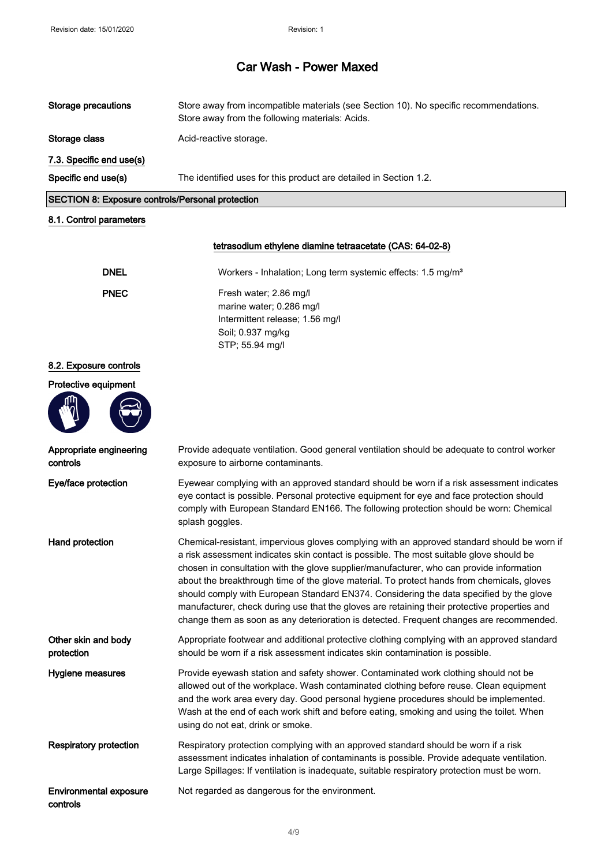| Storage precautions                                     | Store away from incompatible materials (see Section 10). No specific recommendations.<br>Store away from the following materials: Acids. |
|---------------------------------------------------------|------------------------------------------------------------------------------------------------------------------------------------------|
| Storage class                                           | Acid-reactive storage.                                                                                                                   |
| 7.3. Specific end use(s)                                |                                                                                                                                          |
| Specific end use(s)                                     | The identified uses for this product are detailed in Section 1.2.                                                                        |
| <b>SECTION 8: Exposure controls/Personal protection</b> |                                                                                                                                          |
|                                                         |                                                                                                                                          |

#### 8.1. Control parameters

#### tetrasodium ethylene diamine tetraacetate (CAS: 64-02-8)

| <b>DNEL</b> | Workers - Inhalation; Long term systemic effects: 1.5 mg/m <sup>3</sup>                                                       |
|-------------|-------------------------------------------------------------------------------------------------------------------------------|
| <b>PNEC</b> | Fresh water; 2.86 mg/l<br>marine water; 0.286 mg/l<br>Intermittent release; 1.56 mg/l<br>Soil: 0.937 mg/kg<br>STP; 55.94 mg/l |
|             |                                                                                                                               |

#### 8.2. Exposure controls

#### Protective equipment



Appropriate engineering

controls

controls

Provide adequate ventilation. Good general ventilation should be adequate to control worker exposure to airborne contaminants.

Eye/face protection Eyewear complying with an approved standard should be worn if a risk assessment indicates eye contact is possible. Personal protective equipment for eye and face protection should comply with European Standard EN166. The following protection should be worn: Chemical splash goggles.

Hand protection **Chemical-resistant, impervious gloves complying with an approved standard should be worn if** a risk assessment indicates skin contact is possible. The most suitable glove should be chosen in consultation with the glove supplier/manufacturer, who can provide information about the breakthrough time of the glove material. To protect hands from chemicals, gloves should comply with European Standard EN374. Considering the data specified by the glove manufacturer, check during use that the gloves are retaining their protective properties and change them as soon as any deterioration is detected. Frequent changes are recommended.

Other skin and body protection Appropriate footwear and additional protective clothing complying with an approved standard should be worn if a risk assessment indicates skin contamination is possible.

Hygiene measures Provide eyewash station and safety shower. Contaminated work clothing should not be allowed out of the workplace. Wash contaminated clothing before reuse. Clean equipment and the work area every day. Good personal hygiene procedures should be implemented. Wash at the end of each work shift and before eating, smoking and using the toilet. When using do not eat, drink or smoke.

Respiratory protection Respiratory protection complying with an approved standard should be worn if a risk assessment indicates inhalation of contaminants is possible. Provide adequate ventilation. Large Spillages: If ventilation is inadequate, suitable respiratory protection must be worn.

Environmental exposure Not regarded as dangerous for the environment.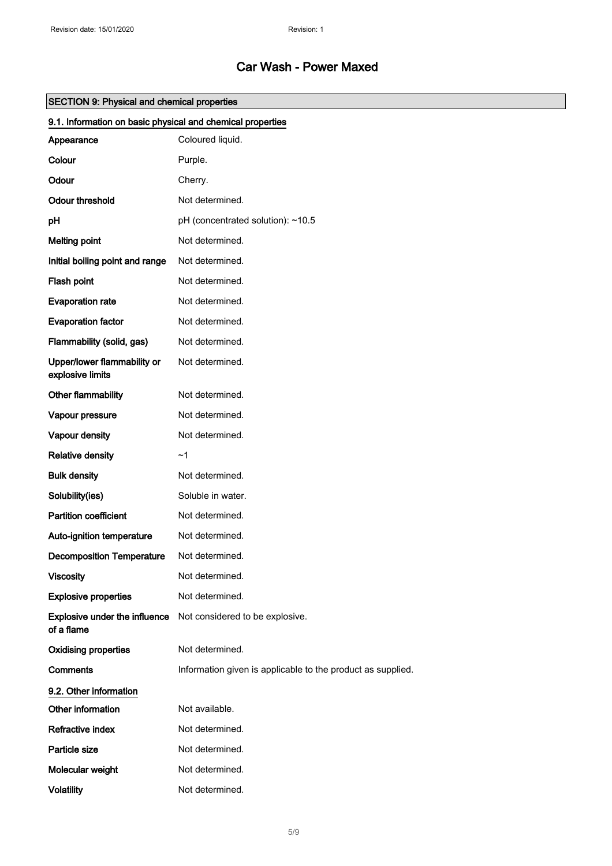| <b>SECTION 9: Physical and chemical properties</b>         |                                                             |  |
|------------------------------------------------------------|-------------------------------------------------------------|--|
| 9.1. Information on basic physical and chemical properties |                                                             |  |
| Appearance                                                 | Coloured liquid.                                            |  |
| Colour                                                     | Purple.                                                     |  |
| Odour                                                      | Cherry.                                                     |  |
| <b>Odour threshold</b>                                     | Not determined.                                             |  |
| pH                                                         | pH (concentrated solution): ~10.5                           |  |
| <b>Melting point</b>                                       | Not determined.                                             |  |
| Initial boiling point and range                            | Not determined.                                             |  |
| Flash point                                                | Not determined.                                             |  |
| <b>Evaporation rate</b>                                    | Not determined.                                             |  |
| <b>Evaporation factor</b>                                  | Not determined.                                             |  |
| Flammability (solid, gas)                                  | Not determined.                                             |  |
| Upper/lower flammability or<br>explosive limits            | Not determined.                                             |  |
| Other flammability                                         | Not determined.                                             |  |
| Vapour pressure                                            | Not determined.                                             |  |
| Vapour density                                             | Not determined.                                             |  |
| <b>Relative density</b>                                    | ~1                                                          |  |
| <b>Bulk density</b>                                        | Not determined.                                             |  |
| Solubility(ies)                                            | Soluble in water.                                           |  |
| <b>Partition coefficient</b>                               | Not determined.                                             |  |
| Auto-ignition temperature                                  | Not determined.                                             |  |
| <b>Decomposition Temperature</b>                           | Not determined.                                             |  |
| <b>Viscosity</b>                                           | Not determined.                                             |  |
| <b>Explosive properties</b>                                | Not determined.                                             |  |
| Explosive under the influence<br>of a flame                | Not considered to be explosive.                             |  |
| <b>Oxidising properties</b>                                | Not determined.                                             |  |
| <b>Comments</b>                                            | Information given is applicable to the product as supplied. |  |
| 9.2. Other information                                     |                                                             |  |
| Other information                                          | Not available.                                              |  |
| Refractive index                                           | Not determined.                                             |  |
| Particle size                                              | Not determined.                                             |  |
| Molecular weight                                           | Not determined.                                             |  |
| <b>Volatility</b>                                          | Not determined.                                             |  |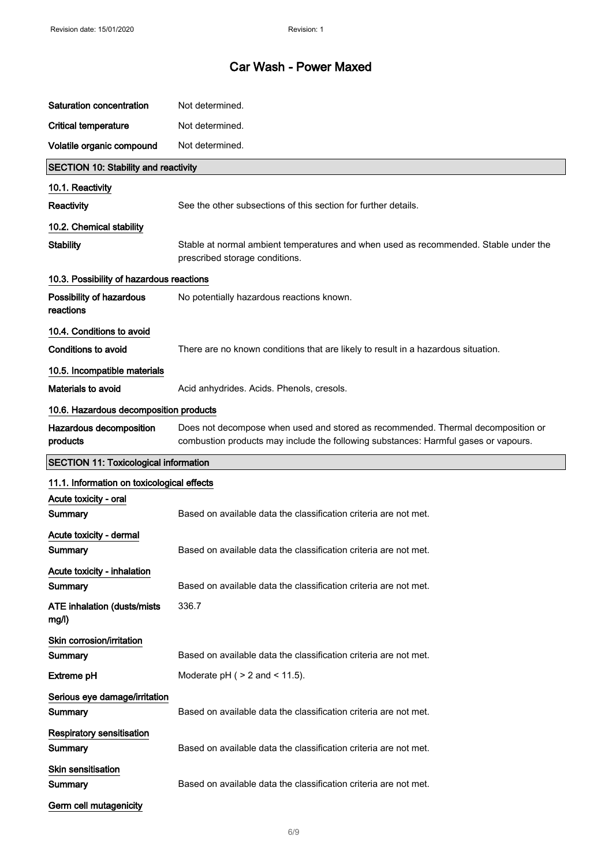| Saturation concentration                     | Not determined.                                                                                                                                                         |
|----------------------------------------------|-------------------------------------------------------------------------------------------------------------------------------------------------------------------------|
| <b>Critical temperature</b>                  | Not determined.                                                                                                                                                         |
| Volatile organic compound                    | Not determined.                                                                                                                                                         |
| <b>SECTION 10: Stability and reactivity</b>  |                                                                                                                                                                         |
| 10.1. Reactivity                             |                                                                                                                                                                         |
| <b>Reactivity</b>                            | See the other subsections of this section for further details.                                                                                                          |
| 10.2. Chemical stability                     |                                                                                                                                                                         |
| <b>Stability</b>                             | Stable at normal ambient temperatures and when used as recommended. Stable under the<br>prescribed storage conditions.                                                  |
| 10.3. Possibility of hazardous reactions     |                                                                                                                                                                         |
| Possibility of hazardous<br>reactions        | No potentially hazardous reactions known.                                                                                                                               |
| 10.4. Conditions to avoid                    |                                                                                                                                                                         |
| Conditions to avoid                          | There are no known conditions that are likely to result in a hazardous situation.                                                                                       |
| 10.5. Incompatible materials                 |                                                                                                                                                                         |
| Materials to avoid                           | Acid anhydrides. Acids. Phenols, cresols.                                                                                                                               |
| 10.6. Hazardous decomposition products       |                                                                                                                                                                         |
| Hazardous decomposition<br>products          | Does not decompose when used and stored as recommended. Thermal decomposition or<br>combustion products may include the following substances: Harmful gases or vapours. |
| <b>SECTION 11: Toxicological information</b> |                                                                                                                                                                         |
| 11.1. Information on toxicological effects   |                                                                                                                                                                         |
| Acute toxicity - oral<br>Summary             | Based on available data the classification criteria are not met.                                                                                                        |
| Acute toxicity - dermal                      |                                                                                                                                                                         |
| Summary                                      | Based on available data the classification criteria are not met.                                                                                                        |
| Acute toxicity - inhalation<br>Summary       | Based on available data the classification criteria are not met.                                                                                                        |
| <b>ATE inhalation (dusts/mists)</b><br>mg/l) | 336.7                                                                                                                                                                   |
| Skin corrosion/irritation<br>Summary         | Based on available data the classification criteria are not met.                                                                                                        |
| <b>Extreme pH</b>                            | Moderate $pH$ ( $> 2$ and $< 11.5$ ).                                                                                                                                   |
| Serious eye damage/irritation<br>Summary     | Based on available data the classification criteria are not met.                                                                                                        |
| <b>Respiratory sensitisation</b><br>Summary  | Based on available data the classification criteria are not met.                                                                                                        |
| <b>Skin sensitisation</b><br>Summary         | Based on available data the classification criteria are not met.                                                                                                        |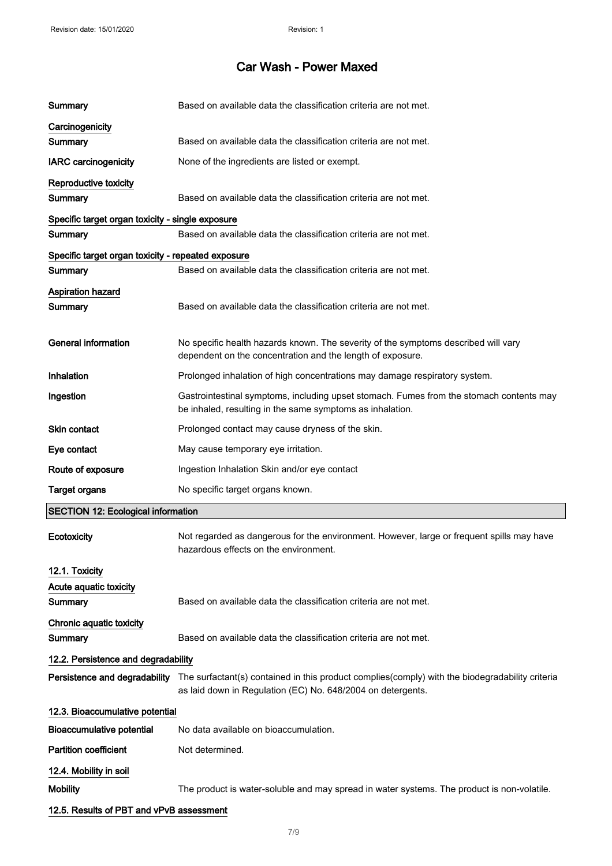| Summary                                            | Based on available data the classification criteria are not met.                                                                                                                             |
|----------------------------------------------------|----------------------------------------------------------------------------------------------------------------------------------------------------------------------------------------------|
| Carcinogenicity                                    |                                                                                                                                                                                              |
| Summary                                            | Based on available data the classification criteria are not met.                                                                                                                             |
| <b>IARC</b> carcinogenicity                        | None of the ingredients are listed or exempt.                                                                                                                                                |
| Reproductive toxicity                              |                                                                                                                                                                                              |
| <b>Summary</b>                                     | Based on available data the classification criteria are not met.                                                                                                                             |
| Specific target organ toxicity - single exposure   |                                                                                                                                                                                              |
| Summary                                            | Based on available data the classification criteria are not met.                                                                                                                             |
| Specific target organ toxicity - repeated exposure |                                                                                                                                                                                              |
| Summary                                            | Based on available data the classification criteria are not met.                                                                                                                             |
| <b>Aspiration hazard</b>                           |                                                                                                                                                                                              |
| Summary                                            | Based on available data the classification criteria are not met.                                                                                                                             |
| <b>General information</b>                         | No specific health hazards known. The severity of the symptoms described will vary<br>dependent on the concentration and the length of exposure.                                             |
| Inhalation                                         | Prolonged inhalation of high concentrations may damage respiratory system.                                                                                                                   |
| Ingestion                                          | Gastrointestinal symptoms, including upset stomach. Fumes from the stomach contents may<br>be inhaled, resulting in the same symptoms as inhalation.                                         |
| <b>Skin contact</b>                                | Prolonged contact may cause dryness of the skin.                                                                                                                                             |
| Eye contact                                        | May cause temporary eye irritation.                                                                                                                                                          |
| Route of exposure                                  | Ingestion Inhalation Skin and/or eye contact                                                                                                                                                 |
| <b>Target organs</b>                               | No specific target organs known.                                                                                                                                                             |
| <b>SECTION 12: Ecological information</b>          |                                                                                                                                                                                              |
| Ecotoxicity                                        | Not regarded as dangerous for the environment. However, large or frequent spills may have<br>hazardous effects on the environment.                                                           |
| 12.1. Toxicity                                     |                                                                                                                                                                                              |
| Acute aquatic toxicity                             |                                                                                                                                                                                              |
| Summary                                            | Based on available data the classification criteria are not met.                                                                                                                             |
| Chronic aquatic toxicity                           |                                                                                                                                                                                              |
| Summary                                            | Based on available data the classification criteria are not met.                                                                                                                             |
| 12.2. Persistence and degradability                |                                                                                                                                                                                              |
|                                                    | Persistence and degradability The surfactant(s) contained in this product complies(comply) with the biodegradability criteria<br>as laid down in Regulation (EC) No. 648/2004 on detergents. |
| 12.3. Bioaccumulative potential                    |                                                                                                                                                                                              |
| <b>Bioaccumulative potential</b>                   | No data available on bioaccumulation.                                                                                                                                                        |
| <b>Partition coefficient</b>                       | Not determined.                                                                                                                                                                              |
| 12.4. Mobility in soil                             |                                                                                                                                                                                              |
| <b>Mobility</b>                                    | The product is water-soluble and may spread in water systems. The product is non-volatile.                                                                                                   |
| 12.5. Results of PBT and vPvB assessment           |                                                                                                                                                                                              |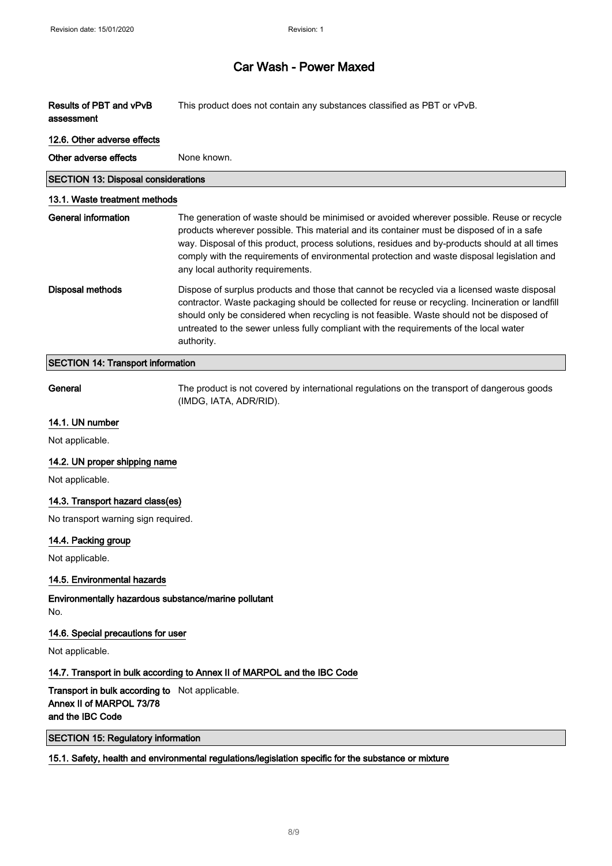| Results of PBT and vPvB<br>assessment                                                          | This product does not contain any substances classified as PBT or vPvB.                                                                                                                                                                                                                                                                                                                                                       |
|------------------------------------------------------------------------------------------------|-------------------------------------------------------------------------------------------------------------------------------------------------------------------------------------------------------------------------------------------------------------------------------------------------------------------------------------------------------------------------------------------------------------------------------|
| 12.6. Other adverse effects                                                                    |                                                                                                                                                                                                                                                                                                                                                                                                                               |
| Other adverse effects                                                                          | None known.                                                                                                                                                                                                                                                                                                                                                                                                                   |
| <b>SECTION 13: Disposal considerations</b>                                                     |                                                                                                                                                                                                                                                                                                                                                                                                                               |
| 13.1. Waste treatment methods                                                                  |                                                                                                                                                                                                                                                                                                                                                                                                                               |
| <b>General information</b>                                                                     | The generation of waste should be minimised or avoided wherever possible. Reuse or recycle<br>products wherever possible. This material and its container must be disposed of in a safe<br>way. Disposal of this product, process solutions, residues and by-products should at all times<br>comply with the requirements of environmental protection and waste disposal legislation and<br>any local authority requirements. |
| <b>Disposal methods</b>                                                                        | Dispose of surplus products and those that cannot be recycled via a licensed waste disposal<br>contractor. Waste packaging should be collected for reuse or recycling. Incineration or landfill<br>should only be considered when recycling is not feasible. Waste should not be disposed of<br>untreated to the sewer unless fully compliant with the requirements of the local water<br>authority.                          |
| <b>SECTION 14: Transport information</b>                                                       |                                                                                                                                                                                                                                                                                                                                                                                                                               |
| General                                                                                        | The product is not covered by international regulations on the transport of dangerous goods<br>(IMDG, IATA, ADR/RID).                                                                                                                                                                                                                                                                                                         |
| 14.1. UN number                                                                                |                                                                                                                                                                                                                                                                                                                                                                                                                               |
| Not applicable.                                                                                |                                                                                                                                                                                                                                                                                                                                                                                                                               |
| 14.2. UN proper shipping name                                                                  |                                                                                                                                                                                                                                                                                                                                                                                                                               |
| Not applicable.                                                                                |                                                                                                                                                                                                                                                                                                                                                                                                                               |
| 14.3. Transport hazard class(es)                                                               |                                                                                                                                                                                                                                                                                                                                                                                                                               |
| No transport warning sign required.                                                            |                                                                                                                                                                                                                                                                                                                                                                                                                               |
| 14.4. Packing group                                                                            |                                                                                                                                                                                                                                                                                                                                                                                                                               |
| Not applicable.                                                                                |                                                                                                                                                                                                                                                                                                                                                                                                                               |
| 14.5. Environmental hazards                                                                    |                                                                                                                                                                                                                                                                                                                                                                                                                               |
| Environmentally hazardous substance/marine pollutant<br>No.                                    |                                                                                                                                                                                                                                                                                                                                                                                                                               |
| 14.6. Special precautions for user                                                             |                                                                                                                                                                                                                                                                                                                                                                                                                               |
| Not applicable.                                                                                |                                                                                                                                                                                                                                                                                                                                                                                                                               |
|                                                                                                | 14.7. Transport in bulk according to Annex II of MARPOL and the IBC Code                                                                                                                                                                                                                                                                                                                                                      |
| Transport in bulk according to Not applicable.<br>Annex II of MARPOL 73/78<br>and the IBC Code |                                                                                                                                                                                                                                                                                                                                                                                                                               |
| <b>SECTION 15: Regulatory information</b>                                                      |                                                                                                                                                                                                                                                                                                                                                                                                                               |
|                                                                                                | 15.1. Safety, health and environmental regulations/legislation specific for the substance or mixture                                                                                                                                                                                                                                                                                                                          |